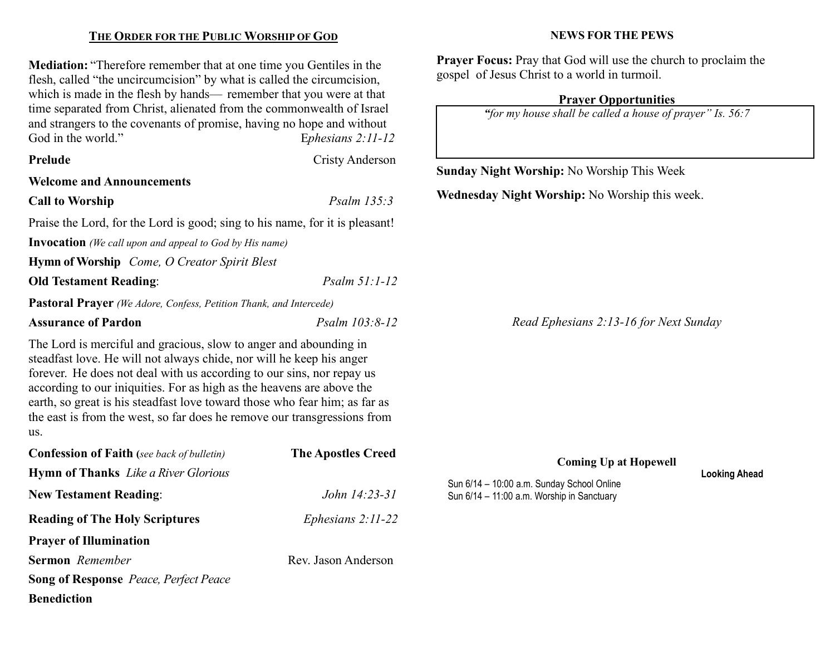## THE ORDER FOR THE PUBLIC WORSHIP OF GOD

Mediation: "Therefore remember that at one time you Gentiles in the flesh, called "the uncircumcision" by what is called the circumcision, which is made in the flesh by hands— remember that you were at that time separated from Christ, alienated from the commonwealth of Israel and strangers to the covenants of promise, having no hope and without God in the world." Ephesians 2:11-12

New Testament Reading: John 14:23-31

Reading of The Holy Scriptures Ephesians 2:11-22

Sermon Remember Rev. Jason Anderson

Prayer of Illumination

**Benediction** 

Song of Response Peace, Perfect Peace

| Prelude<br><b>Welcome and Announcements</b><br><b>Call to Worship</b>                                                                                                                                                                                                                                                                                                                                                                                        | Cristy Anderson<br>Psalm 135:3 | <b>Sunday Night Worship: No Worship This Wee</b><br><b>Wednesday Night Worship: No Worship this v</b> |
|--------------------------------------------------------------------------------------------------------------------------------------------------------------------------------------------------------------------------------------------------------------------------------------------------------------------------------------------------------------------------------------------------------------------------------------------------------------|--------------------------------|-------------------------------------------------------------------------------------------------------|
|                                                                                                                                                                                                                                                                                                                                                                                                                                                              |                                |                                                                                                       |
|                                                                                                                                                                                                                                                                                                                                                                                                                                                              |                                |                                                                                                       |
|                                                                                                                                                                                                                                                                                                                                                                                                                                                              |                                |                                                                                                       |
| Praise the Lord, for the Lord is good; sing to his name, for it is pleasant!                                                                                                                                                                                                                                                                                                                                                                                 |                                |                                                                                                       |
| <b>Invocation</b> (We call upon and appeal to God by His name)                                                                                                                                                                                                                                                                                                                                                                                               |                                |                                                                                                       |
| <b>Hymn of Worship</b> <i>Come, O Creator Spirit Blest</i>                                                                                                                                                                                                                                                                                                                                                                                                   |                                |                                                                                                       |
| <b>Old Testament Reading:</b>                                                                                                                                                                                                                                                                                                                                                                                                                                | $Psalm 51:1-12$                |                                                                                                       |
| <b>Pastoral Prayer</b> (We Adore, Confess, Petition Thank, and Intercede)                                                                                                                                                                                                                                                                                                                                                                                    |                                |                                                                                                       |
| <b>Assurance of Pardon</b>                                                                                                                                                                                                                                                                                                                                                                                                                                   | Psalm 103:8-12                 | Read Ephesians 2:13-16 for Nex                                                                        |
| The Lord is merciful and gracious, slow to anger and abounding in<br>steadfast love. He will not always chide, nor will he keep his anger<br>forever. He does not deal with us according to our sins, nor repay us<br>according to our iniquities. For as high as the heavens are above the<br>earth, so great is his steadfast love toward those who fear him; as far as<br>the east is from the west, so far does he remove our transgressions from<br>us. |                                |                                                                                                       |
| <b>Confession of Faith</b> (see back of bulletin)<br><b>Hymn of Thanks</b> Like a River Glorious                                                                                                                                                                                                                                                                                                                                                             | <b>The Apostles Creed</b>      | <b>Coming Up at Hopewell</b>                                                                          |

#### NEWS FOR THE PEWS

Prayer Focus: Pray that God will use the church to proclaim the gospel of Jesus Christ to a world in turmoil.

### Prayer Opportunities

"for my house shall be called a house of prayer" Is. 56:7

Sun 6/14 – 10:00 a.m. Sunday School Online Sun 6/14 – 11:00 a.m. Worship in Sanctuary

nis week.

Next Sunday

Looking Ahead